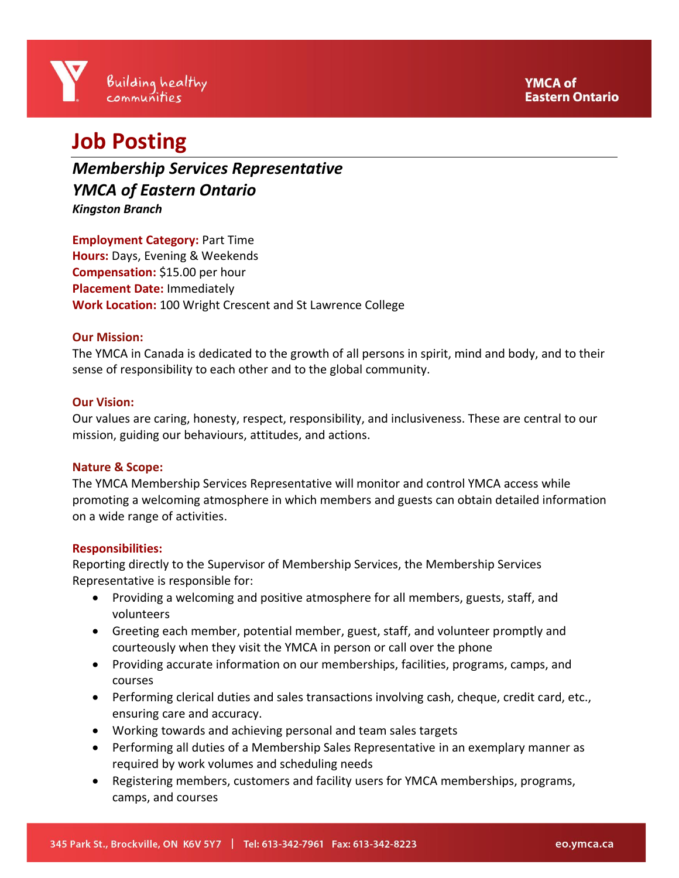# **Job Posting**

*Membership Services Representative YMCA of Eastern Ontario Kingston Branch*

**Employment Category:** Part Time **Hours:** Days, Evening & Weekends **Compensation:** \$15.00 per hour **Placement Date:** Immediately **Work Location:** 100 Wright Crescent and St Lawrence College

# **Our Mission:**

The YMCA in Canada is dedicated to the growth of all persons in spirit, mind and body, and to their sense of responsibility to each other and to the global community.

#### **Our Vision:**

Our values are caring, honesty, respect, responsibility, and inclusiveness. These are central to our mission, guiding our behaviours, attitudes, and actions.

#### **Nature & Scope:**

The YMCA Membership Services Representative will monitor and control YMCA access while promoting a welcoming atmosphere in which members and guests can obtain detailed information on a wide range of activities.

#### **Responsibilities:**

Reporting directly to the Supervisor of Membership Services, the Membership Services Representative is responsible for:

- Providing a welcoming and positive atmosphere for all members, guests, staff, and volunteers
- Greeting each member, potential member, guest, staff, and volunteer promptly and courteously when they visit the YMCA in person or call over the phone
- Providing accurate information on our memberships, facilities, programs, camps, and courses
- Performing clerical duties and sales transactions involving cash, cheque, credit card, etc., ensuring care and accuracy.
- Working towards and achieving personal and team sales targets
- Performing all duties of a Membership Sales Representative in an exemplary manner as required by work volumes and scheduling needs
- Registering members, customers and facility users for YMCA memberships, programs, camps, and courses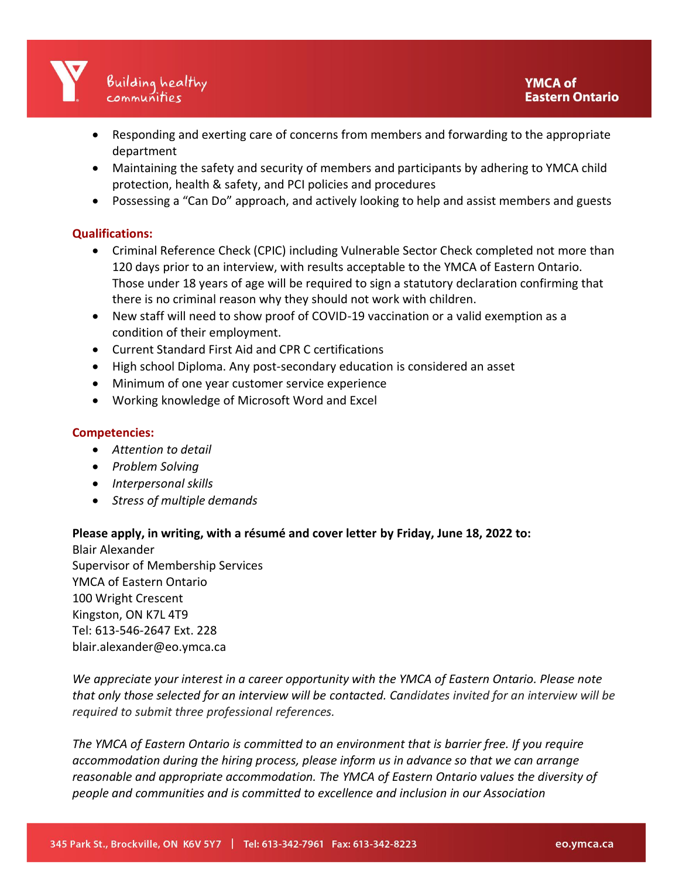

- Responding and exerting care of concerns from members and forwarding to the appropriate department
- Maintaining the safety and security of members and participants by adhering to YMCA child protection, health & safety, and PCI policies and procedures
- Possessing a "Can Do" approach, and actively looking to help and assist members and guests

### **Qualifications:**

- Criminal Reference Check (CPIC) including Vulnerable Sector Check completed not more than 120 days prior to an interview, with results acceptable to the YMCA of Eastern Ontario. Those under 18 years of age will be required to sign a statutory declaration confirming that there is no criminal reason why they should not work with children.
- New staff will need to show proof of COVID-19 vaccination or a valid exemption as a condition of their employment.
- Current Standard First Aid and CPR C certifications
- High school Diploma. Any post-secondary education is considered an asset
- Minimum of one year customer service experience
- Working knowledge of Microsoft Word and Excel

## **Competencies:**

- *Attention to detail*
- *Problem Solving*
- *Interpersonal skills*
- *Stress of multiple demands*

#### **Please apply, in writing, with a résumé and cover letter by Friday, June 18, 2022 to:**

Blair Alexander Supervisor of Membership Services YMCA of Eastern Ontario 100 Wright Crescent Kingston, ON K7L 4T9 Tel: 613-546-2647 Ext. 228 blair.alexander@eo.ymca.ca

*We appreciate your interest in a career opportunity with the YMCA of Eastern Ontario. Please note that only those selected for an interview will be contacted. Candidates invited for an interview will be required to submit three professional references.*

*The YMCA of Eastern Ontario is committed to an environment that is barrier free. If you require accommodation during the hiring process, please inform us in advance so that we can arrange reasonable and appropriate accommodation. The YMCA of Eastern Ontario values the diversity of people and communities and is committed to excellence and inclusion in our Association*